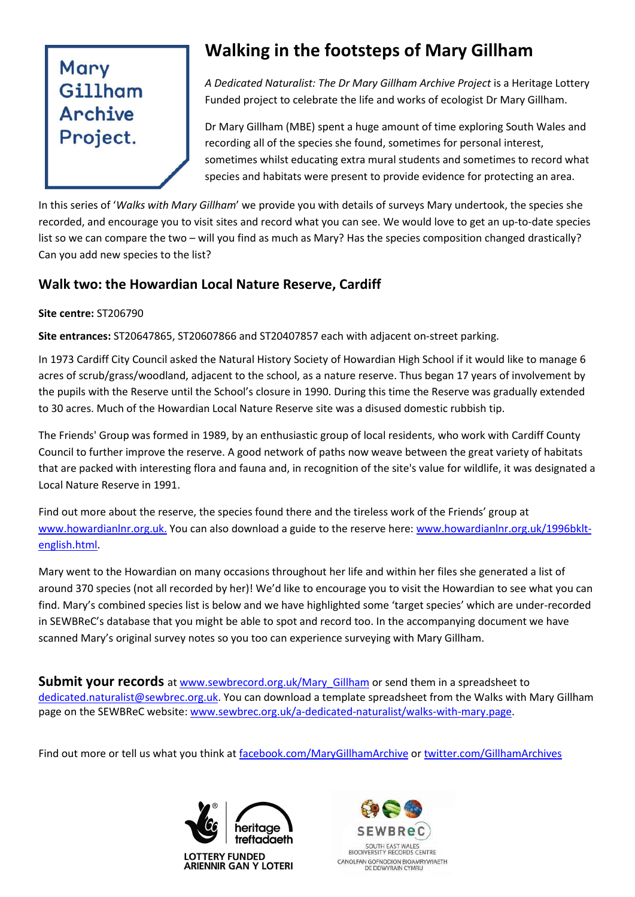# Mary Gillham Archive Project.

## **Walking in the footsteps of Mary Gillham**

*A Dedicated Naturalist: The Dr Mary Gillham Archive Project* is a Heritage Lottery Funded project to celebrate the life and works of ecologist Dr Mary Gillham.

Dr Mary Gillham (MBE) spent a huge amount of time exploring South Wales and recording all of the species she found, sometimes for personal interest, sometimes whilst educating extra mural students and sometimes to record what species and habitats were present to provide evidence for protecting an area.

In this series of '*Walks with Mary Gillham*' we provide you with details of surveys Mary undertook, the species she recorded, and encourage you to visit sites and record what you can see. We would love to get an up-to-date species list so we can compare the two – will you find as much as Mary? Has the species composition changed drastically? Can you add new species to the list?

### **Walk two: the Howardian Local Nature Reserve, Cardiff**

#### **Site centre:** ST206790

**Site entrances:** ST20647865, ST20607866 and ST20407857 each with adjacent on-street parking.

In 1973 Cardiff City Council asked the Natural History Society of Howardian High School if it would like to manage 6 acres of scrub/grass/woodland, adjacent to the school, as a nature reserve. Thus began 17 years of involvement by the pupils with the Reserve until the School's closure in 1990. During this time the Reserve was gradually extended to 30 acres. Much of the Howardian Local Nature Reserve site was a disused domestic rubbish tip.

The Friends' Group was formed in 1989, by an enthusiastic group of local residents, who work with Cardiff County Council to further improve the reserve. A good network of paths now weave between the great variety of habitats that are packed with interesting flora and fauna and, in recognition of the site's value for wildlife, it was designated a Local Nature Reserve in 1991.

Find out more about the reserve, the species found there and the tireless work of the Friends' group at www.howardianlnr.org.uk. You can also download a guide to the reserve here: www.howardianlnr.org.uk/1996bkltenglish.html.

Mary went to the Howardian on many occasions throughout her life and within her files she generated a list of around 370 species (not all recorded by her)! We'd like to encourage you to visit the Howardian to see what you can find. Mary's combined species list is below and we have highlighted some 'target species' which are under-recorded in SEWBReC's database that you might be able to spot and record too. In the accompanying document we have scanned Mary's original survey notes so you too can experience surveying with Mary Gillham.

**Submit your records** at www.sewbrecord.org.uk/Mary Gillham or send them in a spreadsheet to dedicated.naturalist@sewbrec.org.uk. You can download a template spreadsheet from the Walks with Mary Gillham page on the SEWBReC website: www.sewbrec.org.uk/a-dedicated-naturalist/walks-with-mary.page.

Find out more or tell us what you think at facebook.com/MaryGillhamArchive or twitter.com/GillhamArchives



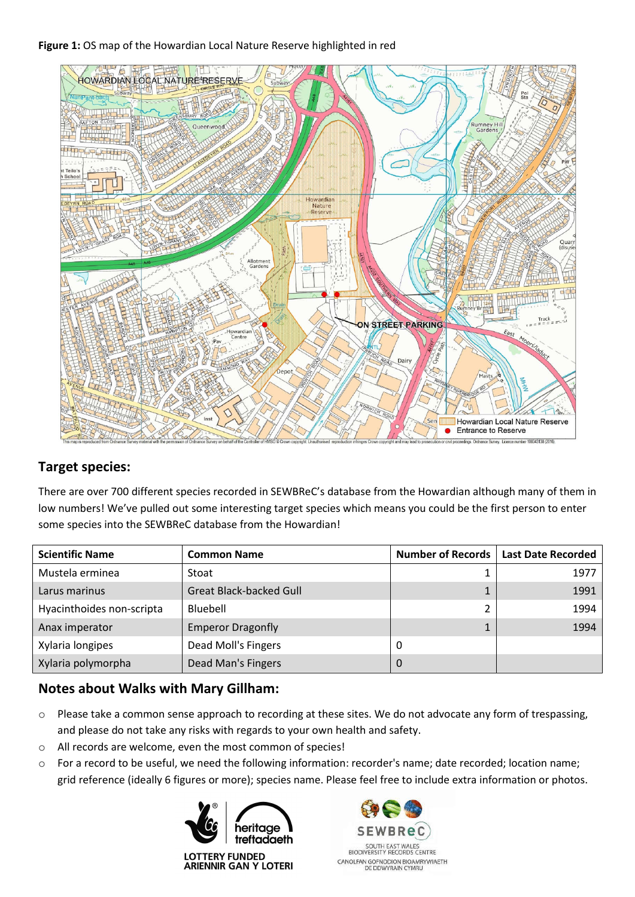#### **Figure 1:** OS map of the Howardian Local Nature Reserve highlighted in red



## **Target species:**

There are over 700 different species recorded in SEWBReC's database from the Howardian although many of them in low numbers! We've pulled out some interesting target species which means you could be the first person to enter some species into the SEWBReC database from the Howardian!

| <b>Scientific Name</b>    | <b>Common Name</b>             | Number of Records   Last Date Recorded |
|---------------------------|--------------------------------|----------------------------------------|
| Mustela erminea           | Stoat                          | 1977                                   |
| Larus marinus             | <b>Great Black-backed Gull</b> | 1991                                   |
| Hyacinthoides non-scripta | Bluebell                       | 1994                                   |
| Anax imperator            | <b>Emperor Dragonfly</b>       | 1994                                   |
| Xylaria longipes          | Dead Moll's Fingers            |                                        |
| Xylaria polymorpha        | Dead Man's Fingers             |                                        |

## **Notes about Walks with Mary Gillham:**

- $\circ$  Please take a common sense approach to recording at these sites. We do not advocate any form of trespassing, and please do not take any risks with regards to your own health and safety.
- o All records are welcome, even the most common of species!
- o For a record to be useful, we need the following information: recorder's name; date recorded; location name; grid reference (ideally 6 figures or more); species name. Please feel free to include extra information or photos.



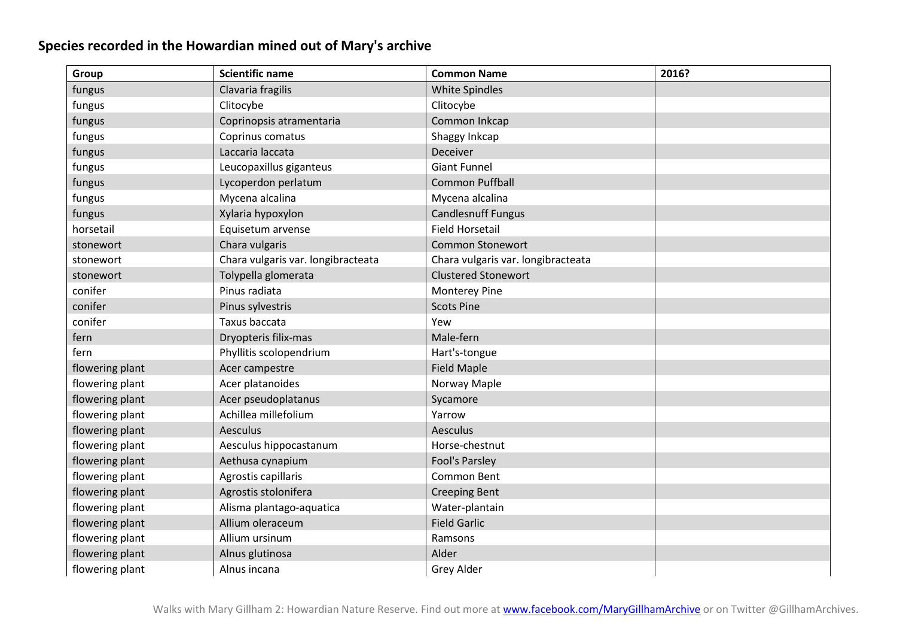## **Species recorded in the Howardian mined out of Mary's archive**

| Group           | <b>Scientific name</b>             | <b>Common Name</b>                 | 2016? |
|-----------------|------------------------------------|------------------------------------|-------|
| fungus          | Clavaria fragilis                  | <b>White Spindles</b>              |       |
| fungus          | Clitocybe                          | Clitocybe                          |       |
| fungus          | Coprinopsis atramentaria           | Common Inkcap                      |       |
| fungus          | Coprinus comatus                   | Shaggy Inkcap                      |       |
| fungus          | Laccaria laccata                   | Deceiver                           |       |
| fungus          | Leucopaxillus giganteus            | <b>Giant Funnel</b>                |       |
| fungus          | Lycoperdon perlatum                | <b>Common Puffball</b>             |       |
| fungus          | Mycena alcalina                    | Mycena alcalina                    |       |
| fungus          | Xylaria hypoxylon                  | <b>Candlesnuff Fungus</b>          |       |
| horsetail       | Equisetum arvense                  | <b>Field Horsetail</b>             |       |
| stonewort       | Chara vulgaris                     | <b>Common Stonewort</b>            |       |
| stonewort       | Chara vulgaris var. longibracteata | Chara vulgaris var. longibracteata |       |
| stonewort       | Tolypella glomerata                | <b>Clustered Stonewort</b>         |       |
| conifer         | Pinus radiata                      | <b>Monterey Pine</b>               |       |
| conifer         | Pinus sylvestris                   | <b>Scots Pine</b>                  |       |
| conifer         | Taxus baccata                      | Yew                                |       |
| fern            | Dryopteris filix-mas               | Male-fern                          |       |
| fern            | Phyllitis scolopendrium            | Hart's-tongue                      |       |
| flowering plant | Acer campestre                     | <b>Field Maple</b>                 |       |
| flowering plant | Acer platanoides                   | Norway Maple                       |       |
| flowering plant | Acer pseudoplatanus                | Sycamore                           |       |
| flowering plant | Achillea millefolium               | Yarrow                             |       |
| flowering plant | <b>Aesculus</b>                    | <b>Aesculus</b>                    |       |
| flowering plant | Aesculus hippocastanum             | Horse-chestnut                     |       |
| flowering plant | Aethusa cynapium                   | Fool's Parsley                     |       |
| flowering plant | Agrostis capillaris                | Common Bent                        |       |
| flowering plant | Agrostis stolonifera               | <b>Creeping Bent</b>               |       |
| flowering plant | Alisma plantago-aquatica           | Water-plantain                     |       |
| flowering plant | Allium oleraceum                   | <b>Field Garlic</b>                |       |
| flowering plant | Allium ursinum                     | Ramsons                            |       |
| flowering plant | Alnus glutinosa                    | Alder                              |       |
| flowering plant | Alnus incana                       | Grey Alder                         |       |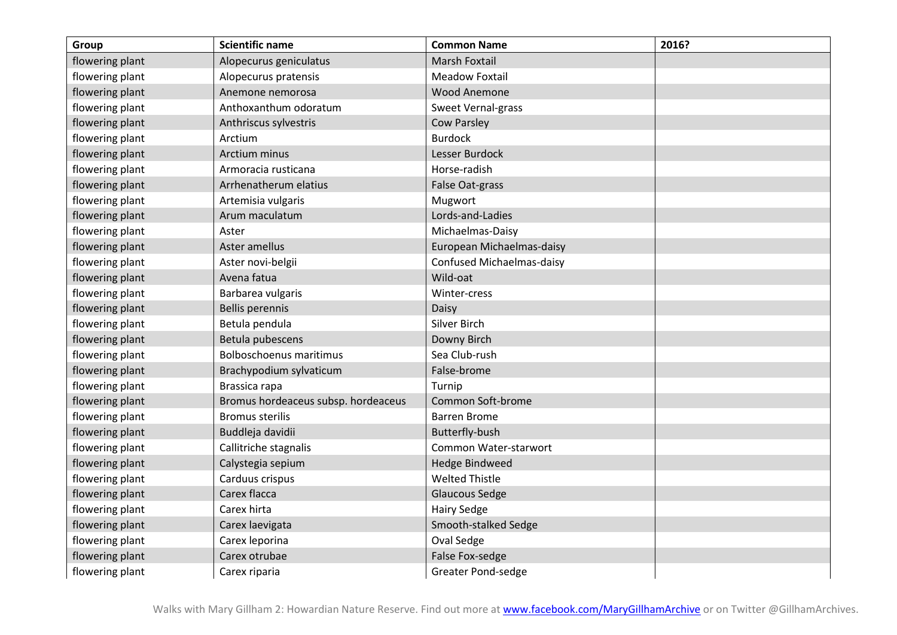| Group           | <b>Scientific name</b>              | <b>Common Name</b>               | 2016? |
|-----------------|-------------------------------------|----------------------------------|-------|
| flowering plant | Alopecurus geniculatus              | <b>Marsh Foxtail</b>             |       |
| flowering plant | Alopecurus pratensis                | <b>Meadow Foxtail</b>            |       |
| flowering plant | Anemone nemorosa                    | <b>Wood Anemone</b>              |       |
| flowering plant | Anthoxanthum odoratum               | Sweet Vernal-grass               |       |
| flowering plant | Anthriscus sylvestris               | <b>Cow Parsley</b>               |       |
| flowering plant | Arctium                             | <b>Burdock</b>                   |       |
| flowering plant | Arctium minus                       | Lesser Burdock                   |       |
| flowering plant | Armoracia rusticana                 | Horse-radish                     |       |
| flowering plant | Arrhenatherum elatius               | False Oat-grass                  |       |
| flowering plant | Artemisia vulgaris                  | Mugwort                          |       |
| flowering plant | Arum maculatum                      | Lords-and-Ladies                 |       |
| flowering plant | Aster                               | Michaelmas-Daisy                 |       |
| flowering plant | Aster amellus                       | European Michaelmas-daisy        |       |
| flowering plant | Aster novi-belgii                   | <b>Confused Michaelmas-daisy</b> |       |
| flowering plant | Avena fatua                         | Wild-oat                         |       |
| flowering plant | Barbarea vulgaris                   | Winter-cress                     |       |
| flowering plant | Bellis perennis                     | Daisy                            |       |
| flowering plant | Betula pendula                      | Silver Birch                     |       |
| flowering plant | Betula pubescens                    | Downy Birch                      |       |
| flowering plant | <b>Bolboschoenus maritimus</b>      | Sea Club-rush                    |       |
| flowering plant | Brachypodium sylvaticum             | False-brome                      |       |
| flowering plant | Brassica rapa                       | Turnip                           |       |
| flowering plant | Bromus hordeaceus subsp. hordeaceus | Common Soft-brome                |       |
| flowering plant | <b>Bromus sterilis</b>              | <b>Barren Brome</b>              |       |
| flowering plant | Buddleja davidii                    | Butterfly-bush                   |       |
| flowering plant | Callitriche stagnalis               | Common Water-starwort            |       |
| flowering plant | Calystegia sepium                   | <b>Hedge Bindweed</b>            |       |
| flowering plant | Carduus crispus                     | <b>Welted Thistle</b>            |       |
| flowering plant | Carex flacca                        | <b>Glaucous Sedge</b>            |       |
| flowering plant | Carex hirta                         | <b>Hairy Sedge</b>               |       |
| flowering plant | Carex laevigata                     | Smooth-stalked Sedge             |       |
| flowering plant | Carex leporina                      | Oval Sedge                       |       |
| flowering plant | Carex otrubae                       | False Fox-sedge                  |       |
| flowering plant | Carex riparia                       | <b>Greater Pond-sedge</b>        |       |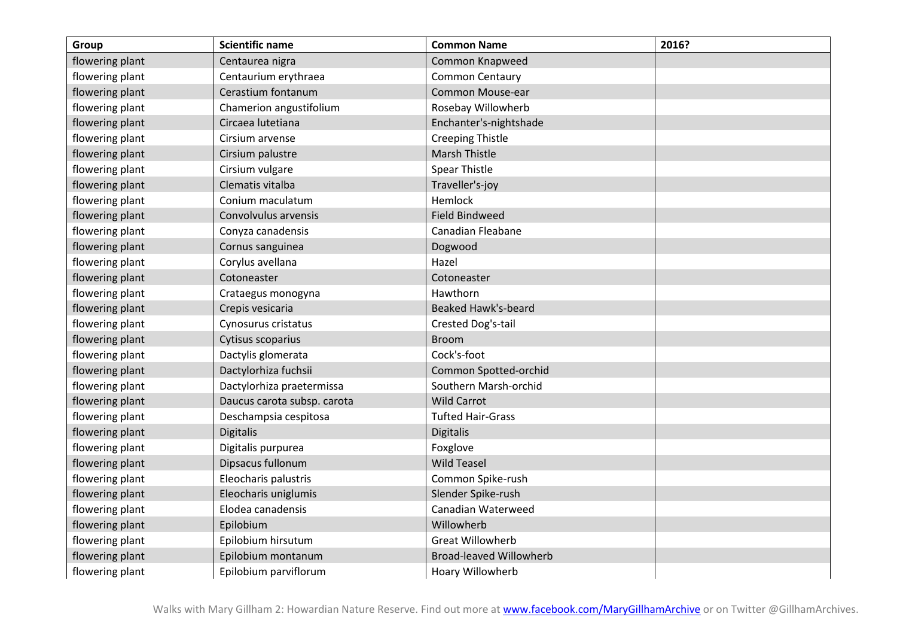| Group           | <b>Scientific name</b>      | <b>Common Name</b>             | 2016? |
|-----------------|-----------------------------|--------------------------------|-------|
| flowering plant | Centaurea nigra             | Common Knapweed                |       |
| flowering plant | Centaurium erythraea        | <b>Common Centaury</b>         |       |
| flowering plant | Cerastium fontanum          | Common Mouse-ear               |       |
| flowering plant | Chamerion angustifolium     | Rosebay Willowherb             |       |
| flowering plant | Circaea lutetiana           | Enchanter's-nightshade         |       |
| flowering plant | Cirsium arvense             | <b>Creeping Thistle</b>        |       |
| flowering plant | Cirsium palustre            | <b>Marsh Thistle</b>           |       |
| flowering plant | Cirsium vulgare             | <b>Spear Thistle</b>           |       |
| flowering plant | Clematis vitalba            | Traveller's-joy                |       |
| flowering plant | Conium maculatum            | Hemlock                        |       |
| flowering plant | Convolvulus arvensis        | <b>Field Bindweed</b>          |       |
| flowering plant | Conyza canadensis           | Canadian Fleabane              |       |
| flowering plant | Cornus sanguinea            | Dogwood                        |       |
| flowering plant | Corylus avellana            | Hazel                          |       |
| flowering plant | Cotoneaster                 | Cotoneaster                    |       |
| flowering plant | Crataegus monogyna          | Hawthorn                       |       |
| flowering plant | Crepis vesicaria            | <b>Beaked Hawk's-beard</b>     |       |
| flowering plant | Cynosurus cristatus         | Crested Dog's-tail             |       |
| flowering plant | Cytisus scoparius           | <b>Broom</b>                   |       |
| flowering plant | Dactylis glomerata          | Cock's-foot                    |       |
| flowering plant | Dactylorhiza fuchsii        | Common Spotted-orchid          |       |
| flowering plant | Dactylorhiza praetermissa   | Southern Marsh-orchid          |       |
| flowering plant | Daucus carota subsp. carota | <b>Wild Carrot</b>             |       |
| flowering plant | Deschampsia cespitosa       | <b>Tufted Hair-Grass</b>       |       |
| flowering plant | <b>Digitalis</b>            | <b>Digitalis</b>               |       |
| flowering plant | Digitalis purpurea          | Foxglove                       |       |
| flowering plant | Dipsacus fullonum           | <b>Wild Teasel</b>             |       |
| flowering plant | Eleocharis palustris        | Common Spike-rush              |       |
| flowering plant | Eleocharis uniglumis        | Slender Spike-rush             |       |
| flowering plant | Elodea canadensis           | Canadian Waterweed             |       |
| flowering plant | Epilobium                   | Willowherb                     |       |
| flowering plant | Epilobium hirsutum          | <b>Great Willowherb</b>        |       |
| flowering plant | Epilobium montanum          | <b>Broad-leaved Willowherb</b> |       |
| flowering plant | Epilobium parviflorum       | Hoary Willowherb               |       |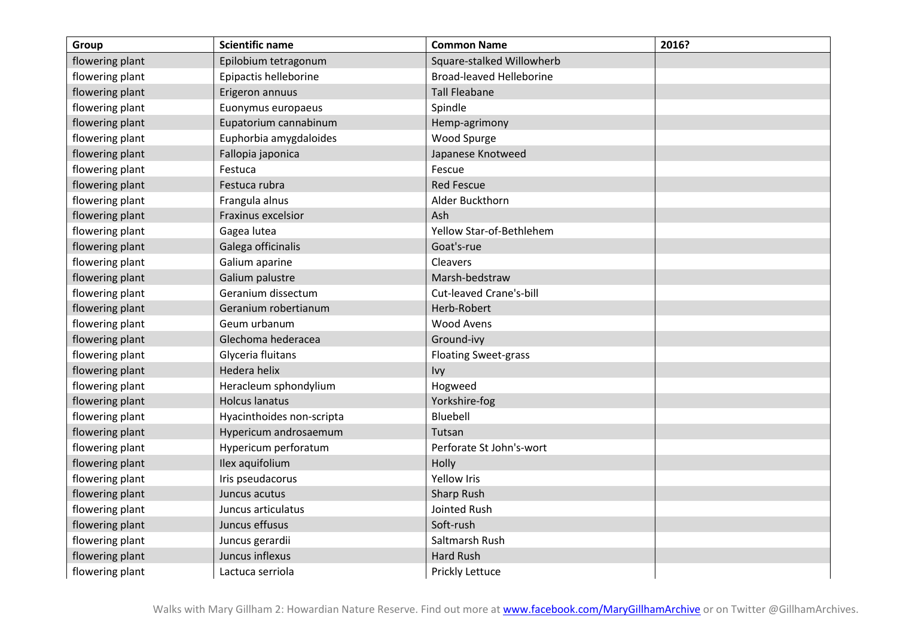| Group           | <b>Scientific name</b>    | <b>Common Name</b>              | 2016? |
|-----------------|---------------------------|---------------------------------|-------|
| flowering plant | Epilobium tetragonum      | Square-stalked Willowherb       |       |
| flowering plant | Epipactis helleborine     | <b>Broad-leaved Helleborine</b> |       |
| flowering plant | Erigeron annuus           | <b>Tall Fleabane</b>            |       |
| flowering plant | Euonymus europaeus        | Spindle                         |       |
| flowering plant | Eupatorium cannabinum     | Hemp-agrimony                   |       |
| flowering plant | Euphorbia amygdaloides    | Wood Spurge                     |       |
| flowering plant | Fallopia japonica         | Japanese Knotweed               |       |
| flowering plant | Festuca                   | Fescue                          |       |
| flowering plant | Festuca rubra             | <b>Red Fescue</b>               |       |
| flowering plant | Frangula alnus            | Alder Buckthorn                 |       |
| flowering plant | Fraxinus excelsior        | Ash                             |       |
| flowering plant | Gagea lutea               | Yellow Star-of-Bethlehem        |       |
| flowering plant | Galega officinalis        | Goat's-rue                      |       |
| flowering plant | Galium aparine            | <b>Cleavers</b>                 |       |
| flowering plant | Galium palustre           | Marsh-bedstraw                  |       |
| flowering plant | Geranium dissectum        | Cut-leaved Crane's-bill         |       |
| flowering plant | Geranium robertianum      | Herb-Robert                     |       |
| flowering plant | Geum urbanum              | <b>Wood Avens</b>               |       |
| flowering plant | Glechoma hederacea        | Ground-ivy                      |       |
| flowering plant | Glyceria fluitans         | <b>Floating Sweet-grass</b>     |       |
| flowering plant | Hedera helix              | Ivy                             |       |
| flowering plant | Heracleum sphondylium     | Hogweed                         |       |
| flowering plant | <b>Holcus lanatus</b>     | Yorkshire-fog                   |       |
| flowering plant | Hyacinthoides non-scripta | Bluebell                        |       |
| flowering plant | Hypericum androsaemum     | Tutsan                          |       |
| flowering plant | Hypericum perforatum      | Perforate St John's-wort        |       |
| flowering plant | Ilex aquifolium           | Holly                           |       |
| flowering plant | Iris pseudacorus          | <b>Yellow Iris</b>              |       |
| flowering plant | Juncus acutus             | Sharp Rush                      |       |
| flowering plant | Juncus articulatus        | Jointed Rush                    |       |
| flowering plant | Juncus effusus            | Soft-rush                       |       |
| flowering plant | Juncus gerardii           | Saltmarsh Rush                  |       |
| flowering plant | Juncus inflexus           | <b>Hard Rush</b>                |       |
| flowering plant | Lactuca serriola          | Prickly Lettuce                 |       |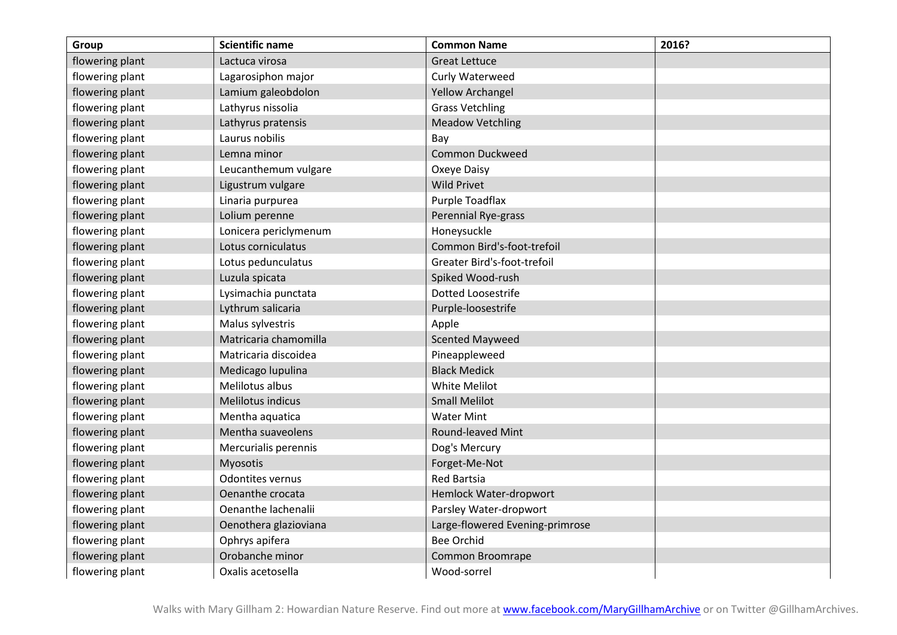| Group           | <b>Scientific name</b> | <b>Common Name</b>              | 2016? |
|-----------------|------------------------|---------------------------------|-------|
| flowering plant | Lactuca virosa         | <b>Great Lettuce</b>            |       |
| flowering plant | Lagarosiphon major     | Curly Waterweed                 |       |
| flowering plant | Lamium galeobdolon     | <b>Yellow Archangel</b>         |       |
| flowering plant | Lathyrus nissolia      | <b>Grass Vetchling</b>          |       |
| flowering plant | Lathyrus pratensis     | <b>Meadow Vetchling</b>         |       |
| flowering plant | Laurus nobilis         | Bay                             |       |
| flowering plant | Lemna minor            | <b>Common Duckweed</b>          |       |
| flowering plant | Leucanthemum vulgare   | Oxeye Daisy                     |       |
| flowering plant | Ligustrum vulgare      | <b>Wild Privet</b>              |       |
| flowering plant | Linaria purpurea       | <b>Purple Toadflax</b>          |       |
| flowering plant | Lolium perenne         | Perennial Rye-grass             |       |
| flowering plant | Lonicera periclymenum  | Honeysuckle                     |       |
| flowering plant | Lotus corniculatus     | Common Bird's-foot-trefoil      |       |
| flowering plant | Lotus pedunculatus     | Greater Bird's-foot-trefoil     |       |
| flowering plant | Luzula spicata         | Spiked Wood-rush                |       |
| flowering plant | Lysimachia punctata    | <b>Dotted Loosestrife</b>       |       |
| flowering plant | Lythrum salicaria      | Purple-loosestrife              |       |
| flowering plant | Malus sylvestris       | Apple                           |       |
| flowering plant | Matricaria chamomilla  | <b>Scented Mayweed</b>          |       |
| flowering plant | Matricaria discoidea   | Pineappleweed                   |       |
| flowering plant | Medicago lupulina      | <b>Black Medick</b>             |       |
| flowering plant | Melilotus albus        | <b>White Melilot</b>            |       |
| flowering plant | Melilotus indicus      | <b>Small Melilot</b>            |       |
| flowering plant | Mentha aquatica        | <b>Water Mint</b>               |       |
| flowering plant | Mentha suaveolens      | Round-leaved Mint               |       |
| flowering plant | Mercurialis perennis   | Dog's Mercury                   |       |
| flowering plant | <b>Myosotis</b>        | Forget-Me-Not                   |       |
| flowering plant | Odontites vernus       | <b>Red Bartsia</b>              |       |
| flowering plant | Oenanthe crocata       | Hemlock Water-dropwort          |       |
| flowering plant | Oenanthe lachenalii    | Parsley Water-dropwort          |       |
| flowering plant | Oenothera glazioviana  | Large-flowered Evening-primrose |       |
| flowering plant | Ophrys apifera         | <b>Bee Orchid</b>               |       |
| flowering plant | Orobanche minor        | Common Broomrape                |       |
| flowering plant | Oxalis acetosella      | Wood-sorrel                     |       |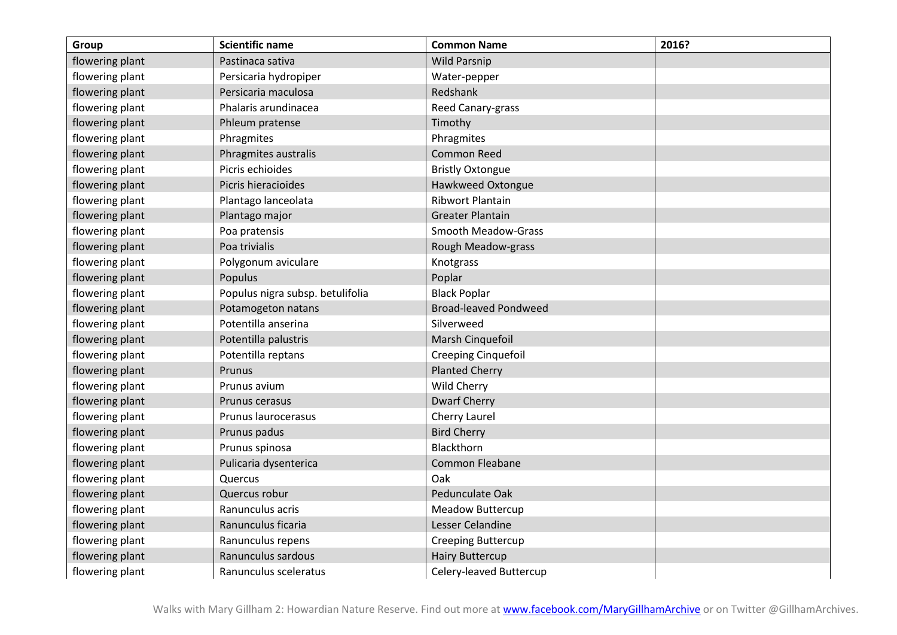| Group           | <b>Scientific name</b>           | <b>Common Name</b>           | 2016? |
|-----------------|----------------------------------|------------------------------|-------|
| flowering plant | Pastinaca sativa                 | <b>Wild Parsnip</b>          |       |
| flowering plant | Persicaria hydropiper            | Water-pepper                 |       |
| flowering plant | Persicaria maculosa              | Redshank                     |       |
| flowering plant | Phalaris arundinacea             | Reed Canary-grass            |       |
| flowering plant | Phleum pratense                  | Timothy                      |       |
| flowering plant | Phragmites                       | Phragmites                   |       |
| flowering plant | Phragmites australis             | <b>Common Reed</b>           |       |
| flowering plant | Picris echioides                 | <b>Bristly Oxtongue</b>      |       |
| flowering plant | Picris hieracioides              | Hawkweed Oxtongue            |       |
| flowering plant | Plantago lanceolata              | <b>Ribwort Plantain</b>      |       |
| flowering plant | Plantago major                   | <b>Greater Plantain</b>      |       |
| flowering plant | Poa pratensis                    | <b>Smooth Meadow-Grass</b>   |       |
| flowering plant | Poa trivialis                    | Rough Meadow-grass           |       |
| flowering plant | Polygonum aviculare              | Knotgrass                    |       |
| flowering plant | Populus                          | Poplar                       |       |
| flowering plant | Populus nigra subsp. betulifolia | <b>Black Poplar</b>          |       |
| flowering plant | Potamogeton natans               | <b>Broad-leaved Pondweed</b> |       |
| flowering plant | Potentilla anserina              | Silverweed                   |       |
| flowering plant | Potentilla palustris             | Marsh Cinquefoil             |       |
| flowering plant | Potentilla reptans               | <b>Creeping Cinquefoil</b>   |       |
| flowering plant | Prunus                           | <b>Planted Cherry</b>        |       |
| flowering plant | Prunus avium                     | Wild Cherry                  |       |
| flowering plant | Prunus cerasus                   | <b>Dwarf Cherry</b>          |       |
| flowering plant | Prunus laurocerasus              | Cherry Laurel                |       |
| flowering plant | Prunus padus                     | <b>Bird Cherry</b>           |       |
| flowering plant | Prunus spinosa                   | Blackthorn                   |       |
| flowering plant | Pulicaria dysenterica            | <b>Common Fleabane</b>       |       |
| flowering plant | Quercus                          | Oak                          |       |
| flowering plant | Quercus robur                    | Pedunculate Oak              |       |
| flowering plant | Ranunculus acris                 | <b>Meadow Buttercup</b>      |       |
| flowering plant | Ranunculus ficaria               | Lesser Celandine             |       |
| flowering plant | Ranunculus repens                | <b>Creeping Buttercup</b>    |       |
| flowering plant | Ranunculus sardous               | <b>Hairy Buttercup</b>       |       |
| flowering plant | Ranunculus sceleratus            | Celery-leaved Buttercup      |       |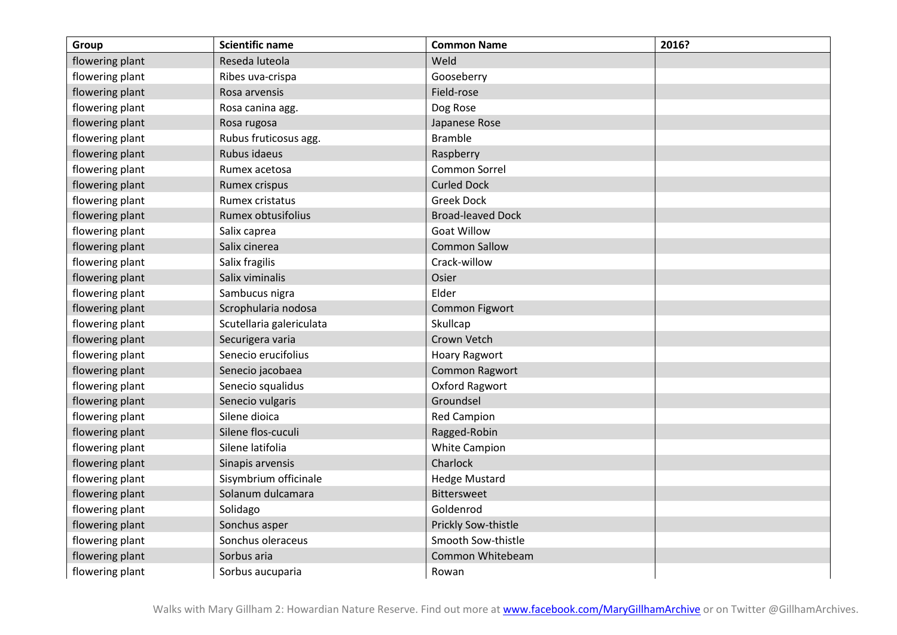| Group           | <b>Scientific name</b>   | <b>Common Name</b>       | 2016? |
|-----------------|--------------------------|--------------------------|-------|
| flowering plant | Reseda luteola           | Weld                     |       |
| flowering plant | Ribes uva-crispa         | Gooseberry               |       |
| flowering plant | Rosa arvensis            | Field-rose               |       |
| flowering plant | Rosa canina agg.         | Dog Rose                 |       |
| flowering plant | Rosa rugosa              | Japanese Rose            |       |
| flowering plant | Rubus fruticosus agg.    | <b>Bramble</b>           |       |
| flowering plant | Rubus idaeus             | Raspberry                |       |
| flowering plant | Rumex acetosa            | Common Sorrel            |       |
| flowering plant | Rumex crispus            | <b>Curled Dock</b>       |       |
| flowering plant | Rumex cristatus          | <b>Greek Dock</b>        |       |
| flowering plant | Rumex obtusifolius       | <b>Broad-leaved Dock</b> |       |
| flowering plant | Salix caprea             | <b>Goat Willow</b>       |       |
| flowering plant | Salix cinerea            | <b>Common Sallow</b>     |       |
| flowering plant | Salix fragilis           | Crack-willow             |       |
| flowering plant | Salix viminalis          | Osier                    |       |
| flowering plant | Sambucus nigra           | Elder                    |       |
| flowering plant | Scrophularia nodosa      | <b>Common Figwort</b>    |       |
| flowering plant | Scutellaria galericulata | Skullcap                 |       |
| flowering plant | Securigera varia         | Crown Vetch              |       |
| flowering plant | Senecio erucifolius      | Hoary Ragwort            |       |
| flowering plant | Senecio jacobaea         | <b>Common Ragwort</b>    |       |
| flowering plant | Senecio squalidus        | Oxford Ragwort           |       |
| flowering plant | Senecio vulgaris         | Groundsel                |       |
| flowering plant | Silene dioica            | <b>Red Campion</b>       |       |
| flowering plant | Silene flos-cuculi       | Ragged-Robin             |       |
| flowering plant | Silene latifolia         | <b>White Campion</b>     |       |
| flowering plant | Sinapis arvensis         | Charlock                 |       |
| flowering plant | Sisymbrium officinale    | <b>Hedge Mustard</b>     |       |
| flowering plant | Solanum dulcamara        | <b>Bittersweet</b>       |       |
| flowering plant | Solidago                 | Goldenrod                |       |
| flowering plant | Sonchus asper            | Prickly Sow-thistle      |       |
| flowering plant | Sonchus oleraceus        | Smooth Sow-thistle       |       |
| flowering plant | Sorbus aria              | Common Whitebeam         |       |
| flowering plant | Sorbus aucuparia         | Rowan                    |       |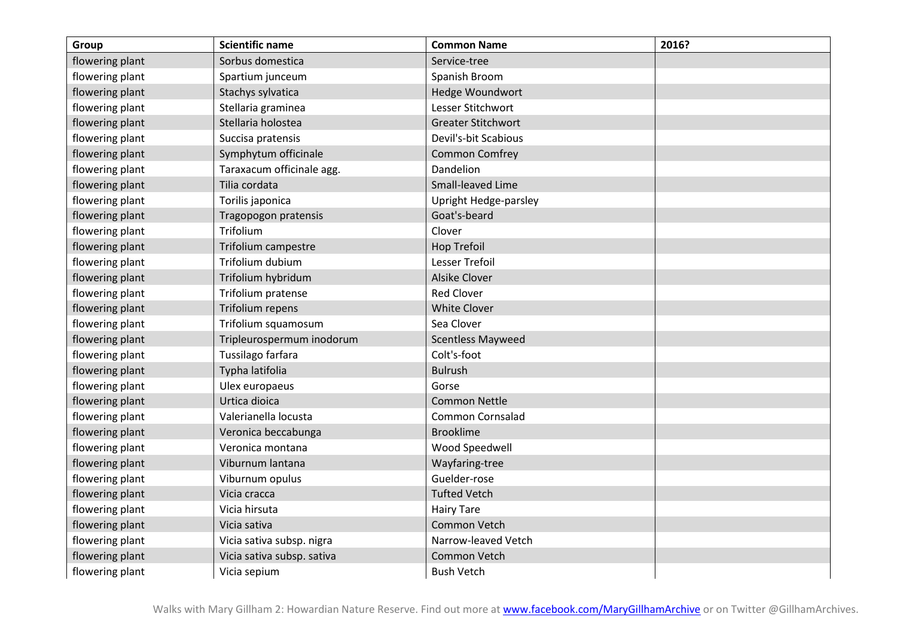| Group           | <b>Scientific name</b>     | <b>Common Name</b>        | 2016? |
|-----------------|----------------------------|---------------------------|-------|
| flowering plant | Sorbus domestica           | Service-tree              |       |
| flowering plant | Spartium junceum           | Spanish Broom             |       |
| flowering plant | Stachys sylvatica          | Hedge Woundwort           |       |
| flowering plant | Stellaria graminea         | Lesser Stitchwort         |       |
| flowering plant | Stellaria holostea         | <b>Greater Stitchwort</b> |       |
| flowering plant | Succisa pratensis          | Devil's-bit Scabious      |       |
| flowering plant | Symphytum officinale       | <b>Common Comfrey</b>     |       |
| flowering plant | Taraxacum officinale agg.  | Dandelion                 |       |
| flowering plant | Tilia cordata              | Small-leaved Lime         |       |
| flowering plant | Torilis japonica           | Upright Hedge-parsley     |       |
| flowering plant | Tragopogon pratensis       | Goat's-beard              |       |
| flowering plant | Trifolium                  | Clover                    |       |
| flowering plant | Trifolium campestre        | <b>Hop Trefoil</b>        |       |
| flowering plant | Trifolium dubium           | Lesser Trefoil            |       |
| flowering plant | Trifolium hybridum         | <b>Alsike Clover</b>      |       |
| flowering plant | Trifolium pratense         | <b>Red Clover</b>         |       |
| flowering plant | Trifolium repens           | <b>White Clover</b>       |       |
| flowering plant | Trifolium squamosum        | Sea Clover                |       |
| flowering plant | Tripleurospermum inodorum  | <b>Scentless Mayweed</b>  |       |
| flowering plant | Tussilago farfara          | Colt's-foot               |       |
| flowering plant | Typha latifolia            | <b>Bulrush</b>            |       |
| flowering plant | Ulex europaeus             | Gorse                     |       |
| flowering plant | Urtica dioica              | <b>Common Nettle</b>      |       |
| flowering plant | Valerianella locusta       | <b>Common Cornsalad</b>   |       |
| flowering plant | Veronica beccabunga        | <b>Brooklime</b>          |       |
| flowering plant | Veronica montana           | Wood Speedwell            |       |
| flowering plant | Viburnum lantana           | Wayfaring-tree            |       |
| flowering plant | Viburnum opulus            | Guelder-rose              |       |
| flowering plant | Vicia cracca               | <b>Tufted Vetch</b>       |       |
| flowering plant | Vicia hirsuta              | <b>Hairy Tare</b>         |       |
| flowering plant | Vicia sativa               | Common Vetch              |       |
| flowering plant | Vicia sativa subsp. nigra  | Narrow-leaved Vetch       |       |
| flowering plant | Vicia sativa subsp. sativa | Common Vetch              |       |
| flowering plant | Vicia sepium               | <b>Bush Vetch</b>         |       |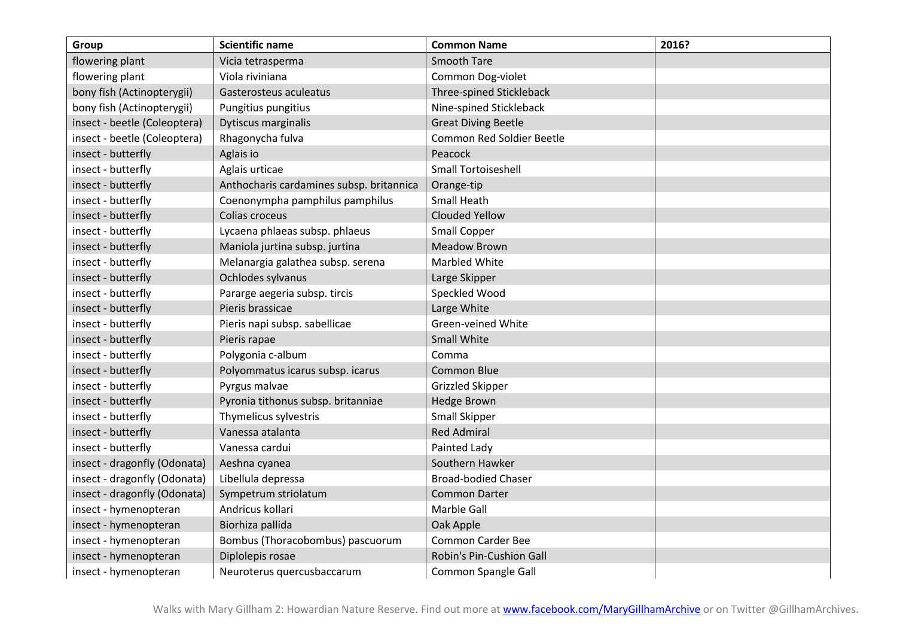| Group                        | <b>Scientific name</b>                   | <b>Common Name</b>              | 2016? |
|------------------------------|------------------------------------------|---------------------------------|-------|
| flowering plant              | Vicia tetrasperma                        | <b>Smooth Tare</b>              |       |
| flowering plant              | Viola riviniana                          | Common Dog-violet               |       |
| bony fish (Actinopterygii)   | Gasterosteus aculeatus                   | <b>Three-spined Stickleback</b> |       |
| bony fish (Actinopterygii)   | Pungitius pungitius                      | Nine-spined Stickleback         |       |
| insect - beetle (Coleoptera) | Dytiscus marginalis                      | <b>Great Diving Beetle</b>      |       |
| insect - beetle (Coleoptera) | Rhagonycha fulva                         | Common Red Soldier Beetle       |       |
| insect - butterfly           | Aglais io                                | Peacock                         |       |
| insect - butterfly           | Aglais urticae                           | <b>Small Tortoiseshell</b>      |       |
| insect - butterfly           | Anthocharis cardamines subsp. britannica | Orange-tip                      |       |
| insect - butterfly           | Coenonympha pamphilus pamphilus          | <b>Small Heath</b>              |       |
| insect - butterfly           | Colias croceus                           | <b>Clouded Yellow</b>           |       |
| insect - butterfly           | Lycaena phlaeas subsp. phlaeus           | <b>Small Copper</b>             |       |
| insect - butterfly           | Maniola jurtina subsp. jurtina           | <b>Meadow Brown</b>             |       |
| insect - butterfly           | Melanargia galathea subsp. serena        | Marbled White                   |       |
| insect - butterfly           | Ochlodes sylvanus                        | Large Skipper                   |       |
| insect - butterfly           | Pararge aegeria subsp. tircis            | Speckled Wood                   |       |
| insect - butterfly           | Pieris brassicae                         | Large White                     |       |
| insect - butterfly           | Pieris napi subsp. sabellicae            | Green-veined White              |       |
| insect - butterfly           | Pieris rapae                             | <b>Small White</b>              |       |
| insect - butterfly           | Polygonia c-album                        | Comma                           |       |
| insect - butterfly           | Polyommatus icarus subsp. icarus         | <b>Common Blue</b>              |       |
| insect - butterfly           | Pyrgus malvae                            | <b>Grizzled Skipper</b>         |       |
| insect - butterfly           | Pyronia tithonus subsp. britanniae       | Hedge Brown                     |       |
| insect - butterfly           | Thymelicus sylvestris                    | <b>Small Skipper</b>            |       |
| insect - butterfly           | Vanessa atalanta                         | <b>Red Admiral</b>              |       |
| insect - butterfly           | Vanessa cardui                           | Painted Lady                    |       |
| insect - dragonfly (Odonata) | Aeshna cyanea                            | Southern Hawker                 |       |
| insect - dragonfly (Odonata) | Libellula depressa                       | <b>Broad-bodied Chaser</b>      |       |
| insect - dragonfly (Odonata) | Sympetrum striolatum                     | <b>Common Darter</b>            |       |
| insect - hymenopteran        | Andricus kollari                         | Marble Gall                     |       |
| insect - hymenopteran        | Biorhiza pallida                         | Oak Apple                       |       |
| insect - hymenopteran        | Bombus (Thoracobombus) pascuorum         | <b>Common Carder Bee</b>        |       |
| insect - hymenopteran        | Diplolepis rosae                         | Robin's Pin-Cushion Gall        |       |
| insect - hymenopteran        | Neuroterus quercusbaccarum               | Common Spangle Gall             |       |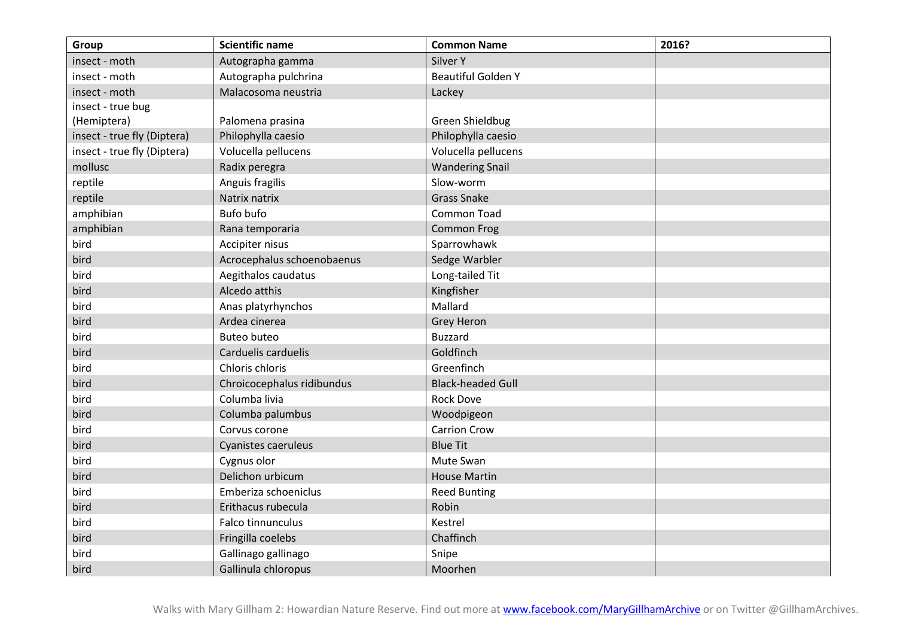| Group                       | <b>Scientific name</b>     | <b>Common Name</b>        | 2016? |
|-----------------------------|----------------------------|---------------------------|-------|
| insect - moth               | Autographa gamma           | Silver Y                  |       |
| insect - moth               | Autographa pulchrina       | <b>Beautiful Golden Y</b> |       |
| insect - moth               | Malacosoma neustria        | Lackey                    |       |
| insect - true bug           |                            |                           |       |
| (Hemiptera)                 | Palomena prasina           | <b>Green Shieldbug</b>    |       |
| insect - true fly (Diptera) | Philophylla caesio         | Philophylla caesio        |       |
| insect - true fly (Diptera) | Volucella pellucens        | Volucella pellucens       |       |
| mollusc                     | Radix peregra              | <b>Wandering Snail</b>    |       |
| reptile                     | Anguis fragilis            | Slow-worm                 |       |
| reptile                     | Natrix natrix              | <b>Grass Snake</b>        |       |
| amphibian                   | <b>Bufo bufo</b>           | <b>Common Toad</b>        |       |
| amphibian                   | Rana temporaria            | <b>Common Frog</b>        |       |
| bird                        | Accipiter nisus            | Sparrowhawk               |       |
| bird                        | Acrocephalus schoenobaenus | Sedge Warbler             |       |
| bird                        | Aegithalos caudatus        | Long-tailed Tit           |       |
| bird                        | Alcedo atthis              | Kingfisher                |       |
| bird                        | Anas platyrhynchos         | Mallard                   |       |
| bird                        | Ardea cinerea              | <b>Grey Heron</b>         |       |
| bird                        | <b>Buteo buteo</b>         | <b>Buzzard</b>            |       |
| bird                        | Carduelis carduelis        | Goldfinch                 |       |
| bird                        | Chloris chloris            | Greenfinch                |       |
| bird                        | Chroicocephalus ridibundus | <b>Black-headed Gull</b>  |       |
| bird                        | Columba livia              | <b>Rock Dove</b>          |       |
| bird                        | Columba palumbus           | Woodpigeon                |       |
| bird                        | Corvus corone              | <b>Carrion Crow</b>       |       |
| bird                        | Cyanistes caeruleus        | <b>Blue Tit</b>           |       |
| bird                        | Cygnus olor                | Mute Swan                 |       |
| bird                        | Delichon urbicum           | <b>House Martin</b>       |       |
| bird                        | Emberiza schoeniclus       | <b>Reed Bunting</b>       |       |
| bird                        | Erithacus rubecula         | Robin                     |       |
| bird                        | Falco tinnunculus          | Kestrel                   |       |
| bird                        | Fringilla coelebs          | Chaffinch                 |       |
| bird                        | Gallinago gallinago        | Snipe                     |       |
| bird                        | Gallinula chloropus        | Moorhen                   |       |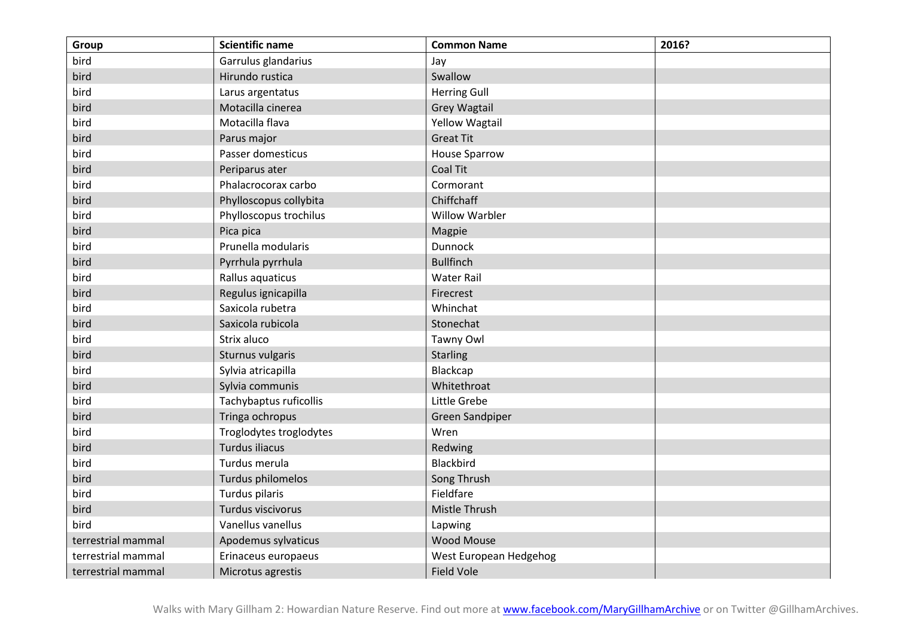| Group              | <b>Scientific name</b>   | <b>Common Name</b>     | 2016? |
|--------------------|--------------------------|------------------------|-------|
| bird               | Garrulus glandarius      | Jay                    |       |
| bird               | Hirundo rustica          | Swallow                |       |
| bird               | Larus argentatus         | <b>Herring Gull</b>    |       |
| bird               | Motacilla cinerea        | <b>Grey Wagtail</b>    |       |
| bird               | Motacilla flava          | <b>Yellow Wagtail</b>  |       |
| bird               | Parus major              | <b>Great Tit</b>       |       |
| bird               | Passer domesticus        | <b>House Sparrow</b>   |       |
| bird               | Periparus ater           | Coal Tit               |       |
| bird               | Phalacrocorax carbo      | Cormorant              |       |
| bird               | Phylloscopus collybita   | Chiffchaff             |       |
| bird               | Phylloscopus trochilus   | <b>Willow Warbler</b>  |       |
| bird               | Pica pica                | Magpie                 |       |
| bird               | Prunella modularis       | Dunnock                |       |
| bird               | Pyrrhula pyrrhula        | <b>Bullfinch</b>       |       |
| bird               | Rallus aquaticus         | <b>Water Rail</b>      |       |
| bird               | Regulus ignicapilla      | Firecrest              |       |
| bird               | Saxicola rubetra         | Whinchat               |       |
| bird               | Saxicola rubicola        | Stonechat              |       |
| bird               | Strix aluco              | Tawny Owl              |       |
| bird               | Sturnus vulgaris         | Starling               |       |
| bird               | Sylvia atricapilla       | Blackcap               |       |
| bird               | Sylvia communis          | Whitethroat            |       |
| bird               | Tachybaptus ruficollis   | Little Grebe           |       |
| bird               | Tringa ochropus          | Green Sandpiper        |       |
| bird               | Troglodytes troglodytes  | Wren                   |       |
| bird               | <b>Turdus iliacus</b>    | Redwing                |       |
| bird               | Turdus merula            | Blackbird              |       |
| bird               | <b>Turdus philomelos</b> | Song Thrush            |       |
| bird               | Turdus pilaris           | Fieldfare              |       |
| bird               | Turdus viscivorus        | Mistle Thrush          |       |
| bird               | Vanellus vanellus        | Lapwing                |       |
| terrestrial mammal | Apodemus sylvaticus      | <b>Wood Mouse</b>      |       |
| terrestrial mammal | Erinaceus europaeus      | West European Hedgehog |       |
| terrestrial mammal | Microtus agrestis        | <b>Field Vole</b>      |       |